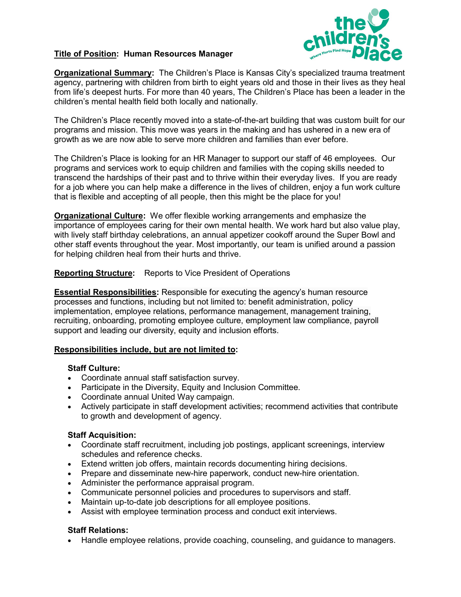

## **Title of Position: Human Resources Manager**

**Organizational Summary:** The Children's Place is Kansas City's specialized trauma treatment agency, partnering with children from birth to eight years old and those in their lives as they heal from life's deepest hurts. For more than 40 years, The Children's Place has been a leader in the children's mental health field both locally and nationally.

The Children's Place recently moved into a state-of-the-art building that was custom built for our programs and mission. This move was years in the making and has ushered in a new era of growth as we are now able to serve more children and families than ever before.

The Children's Place is looking for an HR Manager to support our staff of 46 employees. Our programs and services work to equip children and families with the coping skills needed to transcend the hardships of their past and to thrive within their everyday lives. If you are ready for a job where you can help make a difference in the lives of children, enjoy a fun work culture that is flexible and accepting of all people, then this might be the place for you!

**Organizational Culture:** We offer flexible working arrangements and emphasize the importance of employees caring for their own mental health. We work hard but also value play, with lively staff birthday celebrations, an annual appetizer cookoff around the Super Bowl and other staff events throughout the year. Most importantly, our team is unified around a passion for helping children heal from their hurts and thrive.

**Reporting Structure:** Reports to Vice President of Operations

**Essential Responsibilities:** Responsible for executing the agency's human resource processes and functions, including but not limited to: benefit administration, policy implementation, employee relations, performance management, management training, recruiting, onboarding, promoting employee culture, employment law compliance, payroll support and leading our diversity, equity and inclusion efforts.

## **Responsibilities include, but are not limited to:**

## **Staff Culture:**

- Coordinate annual staff satisfaction survey.
- Participate in the Diversity, Equity and Inclusion Committee.
- Coordinate annual United Way campaign.
- Actively participate in staff development activities; recommend activities that contribute to growth and development of agency.

## **Staff Acquisition:**

- Coordinate staff recruitment, including job postings, applicant screenings, interview schedules and reference checks.
- Extend written job offers, maintain records documenting hiring decisions.
- Prepare and disseminate new-hire paperwork, conduct new-hire orientation.
- Administer the performance appraisal program.
- Communicate personnel policies and procedures to supervisors and staff.
- Maintain up-to-date job descriptions for all employee positions.
- Assist with employee termination process and conduct exit interviews.

## **Staff Relations:**

• Handle employee relations, provide coaching, counseling, and guidance to managers.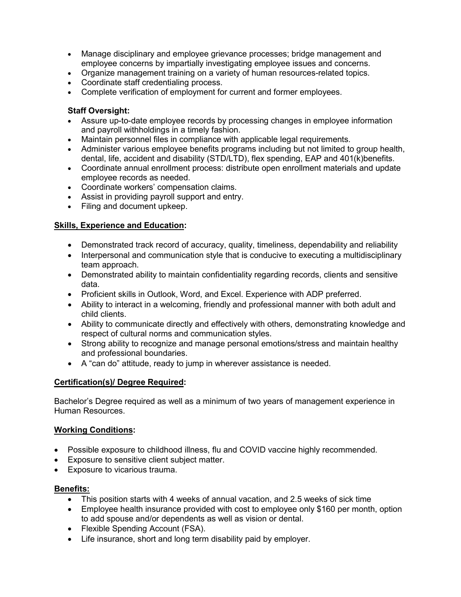- Manage disciplinary and employee grievance processes; bridge management and employee concerns by impartially investigating employee issues and concerns.
- Organize management training on a variety of human resources-related topics.
- Coordinate staff credentialing process.
- Complete verification of employment for current and former employees.

## **Staff Oversight:**

- Assure up-to-date employee records by processing changes in employee information and payroll withholdings in a timely fashion.
- Maintain personnel files in compliance with applicable legal requirements.
- Administer various employee benefits programs including but not limited to group health, dental, life, accident and disability (STD/LTD), flex spending, EAP and 401(k)benefits.
- Coordinate annual enrollment process: distribute open enrollment materials and update employee records as needed.
- Coordinate workers' compensation claims.
- Assist in providing payroll support and entry.
- Filing and document upkeep.

## **Skills, Experience and Education:**

- Demonstrated track record of accuracy, quality, timeliness, dependability and reliability
- Interpersonal and communication style that is conducive to executing a multidisciplinary team approach.
- Demonstrated ability to maintain confidentiality regarding records, clients and sensitive data.
- Proficient skills in Outlook, Word, and Excel. Experience with ADP preferred.
- Ability to interact in a welcoming, friendly and professional manner with both adult and child clients.
- Ability to communicate directly and effectively with others, demonstrating knowledge and respect of cultural norms and communication styles.
- Strong ability to recognize and manage personal emotions/stress and maintain healthy and professional boundaries.
- A "can do" attitude, ready to jump in wherever assistance is needed.

# **Certification(s)/ Degree Required:**

Bachelor's Degree required as well as a minimum of two years of management experience in Human Resources.

## **Working Conditions:**

- Possible exposure to childhood illness, flu and COVID vaccine highly recommended.
- Exposure to sensitive client subject matter.
- Exposure to vicarious trauma.

## **Benefits:**

- This position starts with 4 weeks of annual vacation, and 2.5 weeks of sick time
- Employee health insurance provided with cost to employee only \$160 per month, option to add spouse and/or dependents as well as vision or dental.
- Flexible Spending Account (FSA).
- Life insurance, short and long term disability paid by employer.